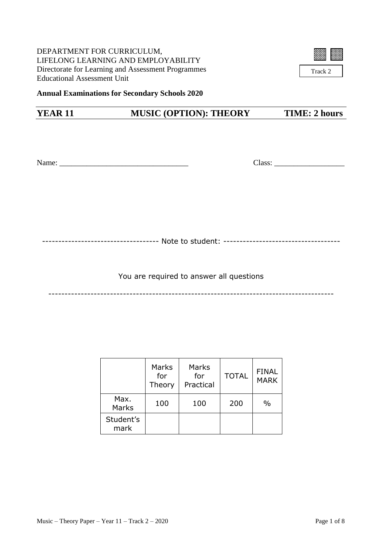DEPARTMENT FOR CURRICULUM, LIFELONG LEARNING AND EMPLOYABILITY Directorate for Learning and Assessment Programmes Educational Assessment Unit



Track 2

## **Annual Examinations for Secondary Schools 2020**

## **YEAR 11 MUSIC (OPTION): THEORY TIME: 2 hours**

Name: \_\_\_\_\_\_\_\_\_\_\_\_\_\_\_\_\_\_\_\_\_\_\_\_\_\_\_\_\_\_\_\_\_ Class: \_\_\_\_\_\_\_\_\_\_\_\_\_\_\_\_\_\_

------------------------------------ Note to student: ------------------------------------

You are required to answer all questions

----------------------------------------------------------------------------------------

|                   | Marks<br>for<br>Theory | Marks<br>for<br>Practical | <b>TOTAL</b> | <b>FINAL</b><br><b>MARK</b> |
|-------------------|------------------------|---------------------------|--------------|-----------------------------|
| Max.<br>Marks     | 100                    | 100                       | 200          | $\frac{0}{0}$               |
| Student's<br>mark |                        |                           |              |                             |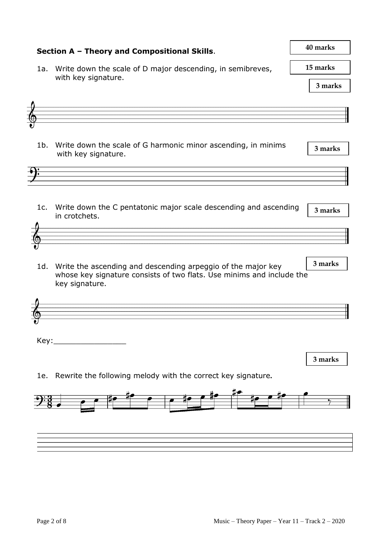| Section A - Theory and Compositional Skills. | 40 marks                                                                                                                                                    |                      |
|----------------------------------------------|-------------------------------------------------------------------------------------------------------------------------------------------------------------|----------------------|
|                                              | 1a. Write down the scale of D major descending, in semibreves,                                                                                              | 15 marks             |
|                                              | with key signature.                                                                                                                                         | 3 marks              |
|                                              |                                                                                                                                                             |                      |
|                                              |                                                                                                                                                             |                      |
| $1b$ .                                       | Write down the scale of G harmonic minor ascending, in minims<br>with key signature.                                                                        | 3 marks              |
|                                              |                                                                                                                                                             |                      |
| 1c.                                          | Write down the C pentatonic major scale descending and ascending<br>in crotchets.                                                                           | 3 marks              |
|                                              |                                                                                                                                                             |                      |
|                                              | 1d. Write the ascending and descending arpeggio of the major key<br>whose key signature consists of two flats. Use minims and include the<br>key signature. | 3 marks              |
|                                              |                                                                                                                                                             |                      |
|                                              |                                                                                                                                                             |                      |
|                                              |                                                                                                                                                             |                      |
|                                              |                                                                                                                                                             | 3 marks              |
| 1e.                                          | Rewrite the following melody with the correct key signature.                                                                                                |                      |
|                                              | $\frac{7}{4}$ $\frac{1}{4}$ $\frac{1}{4}$ $\frac{1}{4}$ $\frac{1}{4}$ $\frac{1}{4}$ $\frac{1}{4}$ $\frac{1}{4}$                                             | $\frac{1}{\sqrt{2}}$ |
|                                              |                                                                                                                                                             |                      |
|                                              |                                                                                                                                                             |                      |
|                                              |                                                                                                                                                             |                      |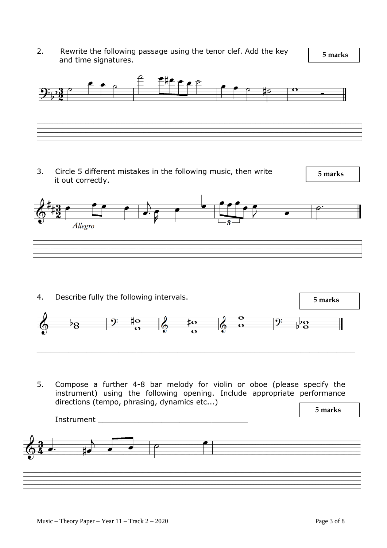2. Rewrite the following passage using the tenor clef. Add the key and time signatures.

 **5 marks**



3. Circle 5 different mistakes in the following music, then write it out correctly.

 **5 marks**



- 4. Describe fully the following intervals.  **5 marks** <u>to</u>  $\frac{1}{2}$ 8  $\overline{P}$  $\overline{\mathbf{O}}$ \_\_\_\_\_\_\_\_\_\_\_\_\_\_\_\_\_\_\_\_\_\_\_\_\_\_\_\_\_\_\_\_\_\_\_\_\_\_\_\_\_\_\_\_\_\_\_\_\_\_\_\_\_\_\_\_\_\_\_\_\_\_\_\_\_\_\_\_\_\_
- 5. Compose a further 4-8 bar melody for violin or oboe (please specify the instrument) using the following opening. Include appropriate performance directions (tempo, phrasing, dynamics etc...)

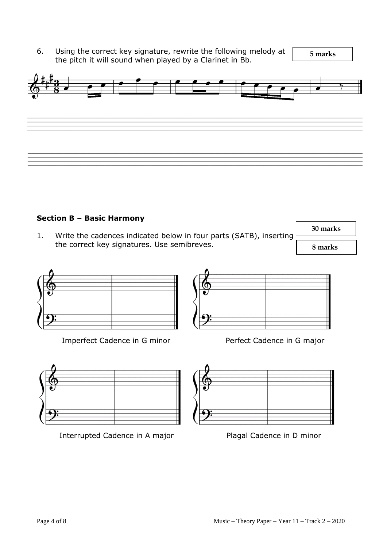6. Using the correct key signature, rewrite the following melody at  $\frac{1}{5 \text{ marks}}$ the pitch it will sound when played by a Clarinet in Bb.



## **Section B – Basic Harmony**

1. Write the cadences indicated below in four parts (SATB), inserting the correct key signatures. Use semibreves.

 **8 marks 30 marks**



Imperfect Cadence in G minor Perfect Cadence in G major



Interrupted Cadence in A major Plagal Cadence in D minor



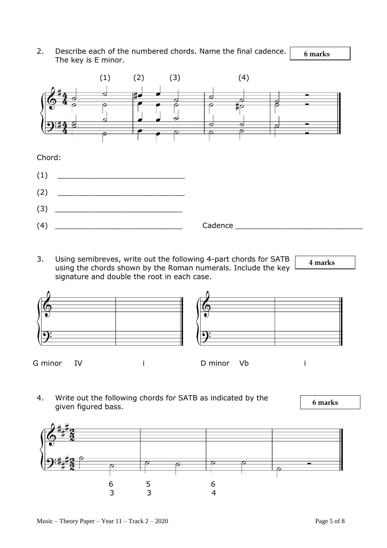**6 marks** 2. Describe each of the numbered chords. Name the final cadence. The key is E minor.



3. Using semibreves, write out the following 4-part chords for SATB using the chords shown by the Roman numerals. Include the key signature and double the root in each case.





G minor IV i D minor Vb i

4. Write out the following chords for SATB as indicated by the given figured bass.



 **6 marks**

 **4 marks**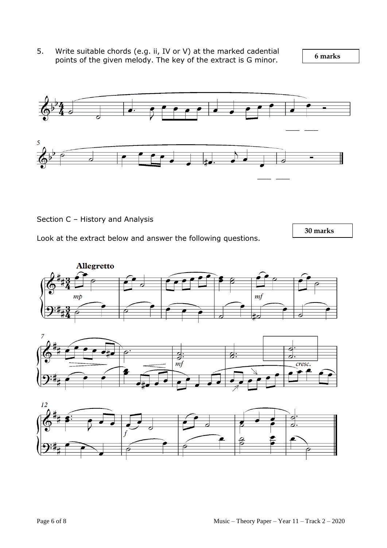5. Write suitable chords (e.g. ii, IV or V) at the marked cadential points of the given melody. The key of the extract is G minor.

 **6 marks**



Section C – History and Analysis

Look at the extract below and answer the following questions.

 **30 marks**



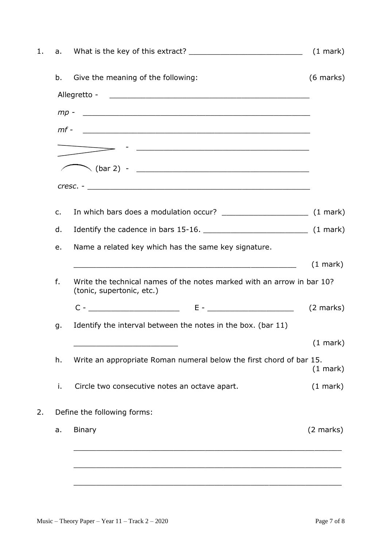|        |                                                                                                     | $(1 \text{ mark})$  |
|--------|-----------------------------------------------------------------------------------------------------|---------------------|
| b.     | Give the meaning of the following:                                                                  | $(6$ marks)         |
|        |                                                                                                     |                     |
|        |                                                                                                     |                     |
| $mf -$ | <u> 2000 - Andrea Andrewski, amerikansk politik (d. 1982)</u>                                       |                     |
|        |                                                                                                     |                     |
|        |                                                                                                     |                     |
|        |                                                                                                     |                     |
| c.     |                                                                                                     |                     |
| d.     |                                                                                                     |                     |
| e.     | Name a related key which has the same key signature.                                                |                     |
|        | <u> 1989 - Jan James James, martin de filosofoar (h. 1982).</u>                                     | $(1 \text{ mark})$  |
| f.     | Write the technical names of the notes marked with an arrow in bar 10?<br>(tonic, supertonic, etc.) |                     |
|        | $C  E -$                                                                                            | $(2 \text{ marks})$ |
| g.     | Identify the interval between the notes in the box. (bar 11)                                        |                     |
|        |                                                                                                     | $(1$ mark $)$       |
| h.     | Write an appropriate Roman numeral below the first chord of bar 15.<br>$(1 \text{ mark})$           |                     |
| i.     | Circle two consecutive notes an octave apart.                                                       | $(1 \text{ mark})$  |
|        | Define the following forms:                                                                         |                     |
|        | <b>Binary</b>                                                                                       | $(2 \text{ marks})$ |